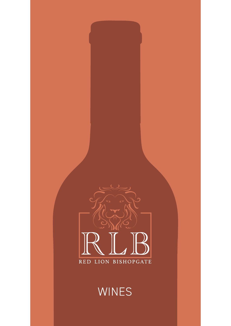

# WINES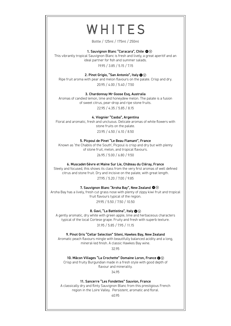# WHITES

Bottle / 125ml / 175ml / 250ml

#### 1. Sauvignon Blanc "Caracara", Chile  $\mathbf{\odot} \mathbf{\odot}$

This vibrantly tropical Sauvignon Blanc is fresh and lively, a great aperitif and an ideal partner for fish and summer salads.

19.95 / 3.85 / 5.15 / 7.15

## 2. Pinot Grigio, "San Antonio", Italy  $\mathbf{Q} \, \widehat{\otimes}$

Ripe fruit aroma with pear and melon flavours on the palate. Crisp and dry. 20.95 / 4.00 / 5.40 / 7.50

#### 3. Chardonnay Mr Goose Esq, Australia

Aromas of candied lemon, lime and honeydew melon. The palate is a fusion of sweet citrus, pear-drop and ripe stone fruits.

22.95 / 4.35 / 5.85 / 8.15

4. Viognier "Caoba", Argentina

Floral and aromatic, fresh and unctuous. Delicate aromas of white flowers with stone fruits on the palate.

23.95 / 4.50 / 6.10 / 8.50

### 5. Picpoul de Pinet "Le Beau Flamant", France

Known as 'the Chablis of the South', Picpoul is crisp and dry but with plenty of stone fruit, melon, and tropical flavours.

26.95 / 5.00 / 6.80 / 9.50

#### 6. Muscadet-Sèvre et Maine Sur Lie, Château du Cléray, France

Steely and focused, this shows its class from the very first aromas of well defined citrus and stone fruit. Dry and incisive on the palate, with great length. 27.95 / 5.20 / 7.00 / 9.85

#### 7. Sauvignon Blanc "Aroha Bay", New Zealand  $\mathbf{\Phi} \mathbf{\mathbb{Q}}$

Aroha Bay has a lively, fresh cut grass nose with plenty of zippy kiwi fruit and tropical fruit flavours typical of the region. 29.95 / 5.50 / 7.50 / 10.50

8. Gavi, "La Battistina", Italy  $\mathbf{\odot}$   $\heartsuit$ 

A gently aromatic, dry white with green apple, lime and herbaceous characters typical of the local Cortese grape. Fruity and fresh with superb texture. 31.95 / 5.85 / 7.95 / 11.15

9. Pinot Gris "Cellar Selection" Sileni, Hawkes Bay, New Zealand

Aromatic peach flavours mingle with beautifully balanced acidity and a long, mineral-led finish. A classic Hawkes Bay wine.

32.95

10. Mâcon Villages "La Crochette" Domaine Loron, France  $\bigcirc\!\!\!\!\! \otimes\otimes$ Crisp and fruity Burgundian made in a fresh style with good depth of flavour and minerality.

34.95

11. Sancerre "Les Fondettes" Sauvion, France

A classically dry and flinty Sauvignon Blanc from this prestigious French region in the Loire Valley. Persistent, aromatic and floral.

40.95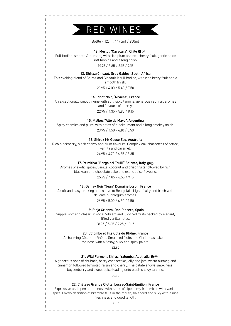

Bottle / 125ml / 175ml / 250ml

#### 12. Merlot "Caracara", Chile  $\mathbf{\odot} \mathbf{\odot}$

Full-bodied, smooth & bursting with rich plum and red cherry fruit, gentle spice, soft tannins and a long finish.

19.95 / 3.85 / 5.15 / 7.15

#### 13. Shiraz/Cinsaut, Grey Gables, South Africa

This exciting blend of Shiraz and Cinsault is full bodied, with ripe berry fruit and a smooth finish.

20.95 / 4.00 / 5.40 / 7.50

### 14. Pinot Noir, "Riviera", France

An exceptionally smooth wine with soft, silky tannins, generous red fruit aromas and flavours of cherry.

22.95 / 4.35 / 5.85 / 8.15

### 15. Malbec "Alto de Mayo", Argentina

Spicy cherries and plum, with notes of blackcurrant and a long smokey finish.

23.95 / 4.50 / 6.10 / 8.50

#### 16. Shiraz Mr Goose Esq, Australia

Rich blackberry, black cherry and plum flavours. Complex oak characters of coffee, vanilla and caramel.

24.95 / 4.70 / 6.35 / 8.85

#### 17. Primitivo "Borgo dei Trulli" Salento, Italy  $\bullet \circledcirc$

Aromas of exotic spices, vanilla, coconut and dried fruits followed by rich blackcurrant, chocolate cake and exotic spice flavours.

25.95 / 4.85 / 6.55 / 9.15

#### 18. Gamay Noir "Jean" Domaine Loron, France

A soft and easy drinking alternative to Beaujolais. Light, fruity and fresh with delicate bubblegum aromas.

26.95 / 5.00 / 6.80 / 9.50

#### 19. Rioja Crianza, Don Placero, Spain

Supple, soft and classic in style. Vibrant and juicy red fruits backed by elegant, lifted vanilla notes.

28.95 / 5.35 / 7.25 / 10.15

#### 20. Colombo et Fils Cote du Rhône, France

A charming Côtes-du-Rhône. Small red fruits and Christmas cake on the nose with a fleshy, silky and spicy palate.

#### 32.95

#### 21. Wild Ferment Shiraz, Yalumba, Australia  $\mathbf{\Phi} \mathbf{\mathbb{Q}}$

A generous nose of rhubarb, berry cheesecake, jelly and jam, warm nutmeg and cinnamon followed by violet, raisin and cherry. The palate shows smokiness, boysenberry and sweet spice leading onto plush chewy tannins.

#### 36.95

#### 22. Château Grande Clotte, Lussac-Saint-Emilion, France

Expressive and open on the nose with notes of ripe berry fruit mixed with vanilla spice. Lovely definition of bramble fruit in the mouth, balanced and silky with a nice freshness and good length.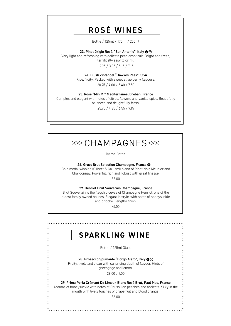# ROSÉ WINES

Bottle / 125ml / 175ml / 250ml

#### 23. Pinot Grigio Rosé, "San Antonio", Italy  $\bullet \circledcirc$

Very light and refreshing with delicate pear-drop fruit. Bright and fresh, terrifically easy to drink.

19.95 / 3.85 / 5.15 / 7.15

### 24. Blush Zinfandel "Hawkes Peak", USA

Ripe, fruity. Packed with sweet strawberry flavours.

20.95 / 4.00 / 5.40 / 7.50

#### 25. Rosé "MiniMI" Mediterranée, Breban, France

Complex and elegant with notes of citrus, flowers and vanilla spice. Beautifully balanced and delightfully fresh.

25.95 / 4.85 / 6.55 / 9.15

# $\gg$  CHAMPAGNES <<<

By the Bottle

26. Gruet Brut Selection Champagne, France @

Gold medal winning (Gilbert & Gaillard) blend of Pinot Noir, Meunier and Chardonnay. Powerful, rich and robust with great finesse.

38.00

#### 27. Henriot Brut Souverain Champagne, France

Brut Souverain is the flagship cuvee of Champagne Henriot, one of the oldest family owned houses. Elegant in style, with notes of honeysuckle and brioche. Lengthy finish.

47.00

## **SPARKLING WINE**

Bottle / 125ml Glass

28. Prosecco Spumanté "Borgo Alato", Italy  $\mathbf{\odot} \otimes$ Fruity, lively and clean with surprising depth of flavour. Hints of greengage and lemon.

28.00 / 7.00

29. Prima Perla Crémant De Limoux Blanc Rosé Brut, Paul Mas, France Aromas of honeysuckle with notes of Roussillon peaches and apricots. Silky in the

mouth with lively touches of grapefruit and blood orange.

36.00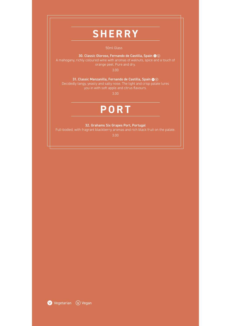# **SHERRY**

#### 30. Classic Oloroso, Fernando de Castilla, Spain  $\mathbf{\Phi} \mathbf{\mathbb{Q}}$

A mahogany, richly coloured wine with aromas of walnuts, spice and a touch of orange peel. Pure and dry.

3.00

31. Classic Manzanilla, Fernando de Castilla, Spain  $\bullet \circledcirc$ 

Decidedly tangy, yeasty and salty nose. The light and crisp palate lures you in with soft apple and citrus flavours.

3.00

# **PORT**

32. Grahams Six Grapes Port, Portugal

Full-bodied, with fragrant blackberry aromas and rich black fruit on the palate.

3.00